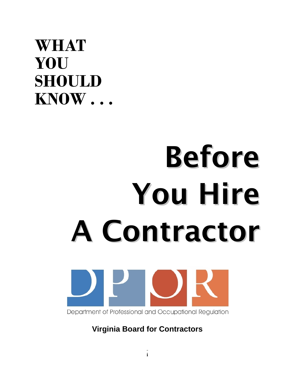## **WHAT YOU SHOULD KNOW . . .**

# Before You Hire A Contractor



**Virginia Board for Contractors**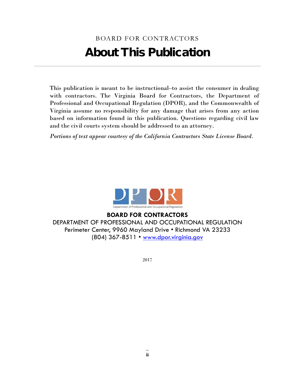### BOARD FOR CONTRACTORS About This Publication

This publication is meant to be instructional–to assist the consumer in dealing with contractors. The Virginia Board for Contractors, the Department of Professional and Occupational Regulation (DPOR), and the Commonwealth of Virginia assume no responsibility for any damage that arises from any action based on information found in this publication. Questions regarding civil law and the civil courts system should be addressed to an attorney.

*Portions of text appear courtesy of the California Contractors State License Board.* 



**BOARD FOR CONTRACTORS** DEPARTMENT OF PROFESSIONAL AND OCCUPATIONAL REGULATION Perimeter Center, 9960 Mayland Drive • Richmond VA 23233 (804) 367-8511 • www.dpor.virginia.gov ֬ !<br>:

2017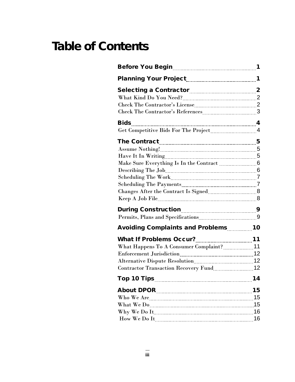### Table of Contents

| Selecting a Contractor <b>Communication</b> 2 |    |
|-----------------------------------------------|----|
|                                               |    |
|                                               |    |
|                                               |    |
|                                               |    |
|                                               |    |
|                                               |    |
|                                               |    |
|                                               |    |
|                                               |    |
|                                               |    |
|                                               |    |
|                                               |    |
|                                               |    |
|                                               |    |
|                                               |    |
|                                               |    |
| Avoiding Complaints and Problems10            |    |
|                                               |    |
| What Happens To A Consumer Complaint? 11      |    |
|                                               |    |
|                                               |    |
|                                               |    |
| <b>Top 10 Tips</b>                            | 14 |
|                                               | 15 |
|                                               | 15 |
|                                               | 15 |
|                                               |    |
|                                               | 16 |
|                                               |    |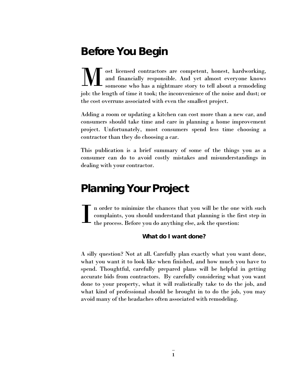### Before You Begin

ost licensed contractors are competent, honest, hardworking, and financially responsible. And yet almost everyone knows someone who has a nightmare story to tell about a remodeling job: the length of time it took; the inconvenience of the noise and dust; or the cost overruns associated with even the smallest project. M

Adding a room or updating a kitchen can cost more than a new car, and consumers should take time and care in planning a home improvement project. Unfortunately, most consumers spend less time choosing a contractor than they do choosing a car.

This publication is a brief summary of some of the things you as a consumer can do to avoid costly mistakes and misunderstandings in dealing with your contractor.

### Planning Your Project

n order to minimize the chances that you will be the one with such complaints, you should understand that planning is the first step in the process. Before you do anything else, ask the question: I

#### What do I want done?

A silly question? Not at all. Carefully plan exactly what you want done, what you want it to look like when finished, and how much you have to spend. Thoughtful, carefully prepared plans will be helpful in getting accurate bids from contractors. By carefully considering what you want done to your property, what it will realistically take to do the job, and what kind of professional should be brought in to do the job, you may avoid many of the headaches often associated with remodeling.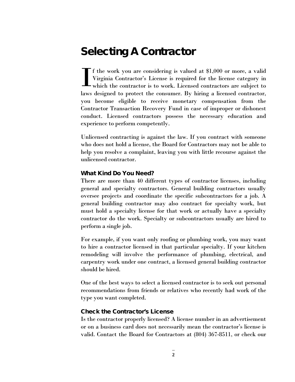### Selecting A Contractor

f the work you are considering is valued at \$1,000 or more, a valid Virginia Contractor's License is required for the license category in which the contractor is to work. Licensed contractors are subject to laws designed to protect the consumer. By hiring a licensed contractor, you become eligible to receive monetary compensation from the Contractor Transaction Recovery Fund in case of improper or dishonest conduct. Licensed contractors possess the necessary education and experience to perform competently. I

Unlicensed contracting is against the law. If you contract with someone who does not hold a license, the Board for Contractors may not be able to help you resolve a complaint, leaving you with little recourse against the unlicensed contractor.

#### What Kind Do You Need?

There are more than 40 different types of contractor licenses, including general and specialty contractors. General building contractors usually oversee projects and coordinate the specific subcontractors for a job. A general building contractor may also contract for specialty work, but must hold a specialty license for that work or actually have a specialty contractor do the work. Specialty or subcontractors usually are hired to perform a single job.

For example, if you want only roofing or plumbing work, you may want to hire a contractor licensed in that particular specialty. If your kitchen remodeling will involve the performance of plumbing, electrical, and carpentry work under one contract, a licensed general building contractor should be hired.

One of the best ways to select a licensed contractor is to seek out personal recommendations from friends or relatives who recently had work of the type you want completed.

#### Check the Contractor's License

Is the contractor properly licensed? A license number in an advertisement or on a business card does not necessarily mean the contractor's license is valid. Contact the Board for Contractors at (804) 367-8511, or check our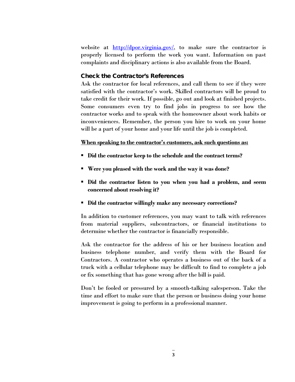website at  $\frac{\text{http://dpor.virginia.gov/}}{\text{http://dpor.virginia.gov/}}$ , to make sure the contractor is properly licensed to perform the work you want. Information on past complaints and disciplinary actions is also available from the Board.

#### Check the Contractor's References

Ask the contractor for local references, and call them to see if they were satisfied with the contractor's work. Skilled contractors will be proud to take credit for their work. If possible, go out and look at finished projects. Some consumers even try to find jobs in progress to see how the contractor works and to speak with the homeowner about work habits or inconveniences. Remember, the person you hire to work on your home will be a part of your home and your life until the job is completed.

#### **When speaking to the contractor's customers, ask such questions as:**

- **Did the contractor keep to the schedule and the contract terms?**
- **Were you pleased with the work and the way it was done?**
- **Did the contractor listen to you when you had a problem, and seem concerned about resolving it?**
- **Did the contractor willingly make any necessary corrections?**

In addition to customer references, you may want to talk with references from material suppliers, subcontractors, or financial institutions to determine whether the contractor is financially responsible.

Ask the contractor for the address of his or her business location and business telephone number, and verify them with the Board for Contractors. A contractor who operates a business out of the back of a truck with a cellular telephone may be difficult to find to complete a job or fix something that has gone wrong after the bill is paid.

Don't be fooled or pressured by a smooth-talking salesperson. Take the time and effort to make sure that the person or business doing your home improvement is going to perform in a professional manner.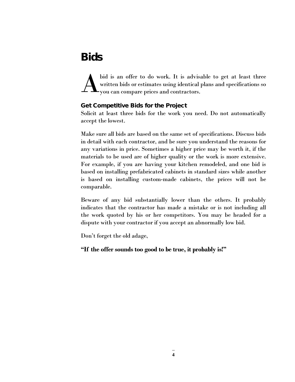### **Bids**

bid is an offer to do work. It is advisable to get at least three written bids or estimates using identical plans and specifications so you can compare prices and contractors. A

#### Get Competitive Bids for the Project

Solicit at least three bids for the work you need. Do not automatically accept the lowest.

Make sure all bids are based on the same set of specifications. Discuss bids in detail with each contractor, and be sure you understand the reasons for any variations in price. Sometimes a higher price may be worth it, if the materials to be used are of higher quality or the work is more extensive. For example, if you are having your kitchen remodeled, and one bid is based on installing prefabricated cabinets in standard sizes while another is based on installing custom-made cabinets, the prices will not be comparable.

Beware of any bid substantially lower than the others. It probably indicates that the contractor has made a mistake or is not including all the work quoted by his or her competitors. You may be headed for a dispute with your contractor if you accept an abnormally low bid.

Don't forget the old adage,

**"If the offer sounds too good to be true, it probably is!"**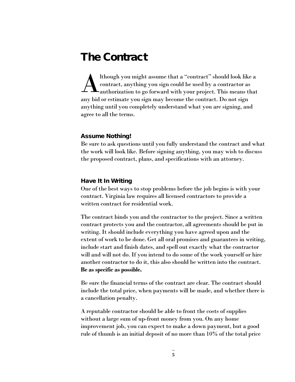### The Contract

lthough you might assume that a "contract" should look like a contract, anything you sign could be used by a contractor as authorization to go forward with your project. This means that any bid or estimate you sign may become the contract. Do not sign anything until you completely understand what you are signing, and agree to all the terms. A

#### Assume Nothing!

Be sure to ask questions until you fully understand the contract and what the work will look like. Before signing anything, you may wish to discuss the proposed contract, plans, and specifications with an attorney.

#### Have It In Writing

One of the best ways to stop problems before the job begins is with your contract. Virginia law requires all licensed contractors to provide a written contract for residential work.

The contract binds you and the contractor to the project. Since a written contract protects you and the contractor, all agreements should be put in writing. It should include everything you have agreed upon and the extent of work to be done. Get all oral promises and guarantees in writing, include start and finish dates, and spell out exactly what the contractor will and will not do. If you intend to do some of the work yourself or hire another contractor to do it, this also should be written into the contract. **Be as specific as possible.**

Be sure the financial terms of the contract are clear. The contract should include the total price, when payments will be made, and whether there is a cancellation penalty.

A reputable contractor should be able to front the costs of supplies without a large sum of up-front money from you. On any home improvement job, you can expect to make a down payment, but a good rule of thumb is an initial deposit of no more than 10% of the total price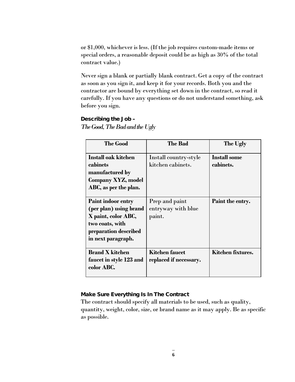or \$1,000, whichever is less. (If the job requires custom-made items or special orders, a reasonable deposit could be as high as 30% of the total contract value.)

Never sign a blank or partially blank contract. Get a copy of the contract as soon as you sign it, and keep it for your records. Both you and the contractor are bound by everything set down in the contract, so read it carefully. If you have any questions or do not understand something, ask before you sign.

#### Describing the Job –

*The Good, The Bad and the Ugly* 

| <b>The Good</b>                                                                                                                              | The Bad                                         | The Ugly                         |
|----------------------------------------------------------------------------------------------------------------------------------------------|-------------------------------------------------|----------------------------------|
| Install oak kitchen<br>cabinets<br>manufactured by<br>Company XYZ, model<br>ABC, as per the plan.                                            | Install country-style<br>kitchen cabinets.      | <b>Install some</b><br>cabinets. |
| <b>Paint indoor entry</b><br>(per plan) using brand<br>X paint, color ABC,<br>two coats, with<br>preparation described<br>in next paragraph. | Prep and paint<br>entryway with blue<br>paint.  | Paint the entry.                 |
| <b>Brand X kitchen</b><br>faucet in style 123 and<br>color ABC.                                                                              | <b>Kitchen faucet</b><br>replaced if necessary. | Kitchen fixtures.                |

#### Make Sure Everything Is In The Contract

The contract should specify all materials to be used, such as quality, quantity, weight, color, size, or brand name as it may apply. Be as specific as possible.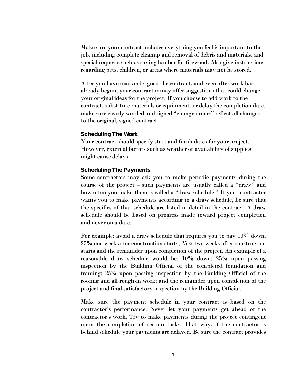Make sure your contract includes everything you feel is important to the job, including complete cleanup and removal of debris and materials, and special requests such as saving lumber for firewood. Also give instructions regarding pets, children, or areas where materials may not be stored.

After you have read and signed the contract, and even after work has already begun, your contractor may offer suggestions that could change your original ideas for the project. If you choose to add work to the contract, substitute materials or equipment, or delay the completion date, make sure clearly worded and signed "change orders" reflect all changes to the original, signed contract.

#### Scheduling The Work

Your contract should specify start and finish dates for your project. However, external factors such as weather or availability of supplies might cause delays.

#### Scheduling The Payments

Some contractors may ask you to make periodic payments during the course of the project – such payments are usually called a "draw" and how often you make them is called a "draw schedule." If your contractor wants you to make payments according to a draw schedule, be sure that the specifics of that schedule are listed in detail in the contract. A draw schedule should be based on progress made toward project completion and never on a date.

For example: avoid a draw schedule that requires you to pay 10% down; 25% one week after construction starts; 25% two weeks after construction starts and the remainder upon completion of the project. An example of a reasonable draw schedule would be: 10% down; 25% upon passing inspection by the Building Official of the completed foundation and framing; 25% upon passing inspection by the Building Official of the roofing and all rough-in work; and the remainder upon completion of the project and final satisfactory inspection by the Building Official.

Make sure the payment schedule in your contract is based on the contractor's performance. Never let your payments get ahead of the contractor's work. Try to make payments during the project contingent upon the completion of certain tasks. That way, if the contractor is behind schedule your payments are delayed. Be sure the contract provides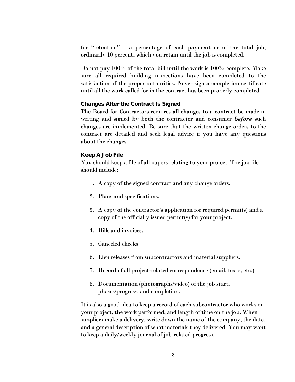for "retention" – a percentage of each payment or of the total job, ordinarily 10 percent, which you retain until the job is completed.

Do not pay 100% of the total bill until the work is 100% complete. Make sure all required building inspections have been completed to the satisfaction of the proper authorities. Never sign a completion certificate until all the work called for in the contract has been properly completed.

#### Changes After the Contract Is Signed

The Board for Contractors requires **all** changes to a contract be made in writing and signed by both the contractor and consumer *before* such changes are implemented. Be sure that the written change orders to the contract are detailed and seek legal advice if you have any questions about the changes.

#### Keep A Job File

You should keep a file of all papers relating to your project. The job file should include:

- 1. A copy of the signed contract and any change orders.
- 2. Plans and specifications.
- 3. A copy of the contractor's application for required permit(s) and a copy of the officially issued permit(s) for your project.
- 4. Bills and invoices.
- 5. Canceled checks.
- 6. Lien releases from subcontractors and material suppliers.
- 7. Record of all project-related correspondence (email, texts, etc.).
- 8. Documentation (photographs/video) of the job start, phases/progress, and completion.

It is also a good idea to keep a record of each subcontractor who works on your project, the work performed, and length of time on the job. When suppliers make a delivery, write down the name of the company, the date, and a general description of what materials they delivered. You may want to keep a daily/weekly journal of job-related progress.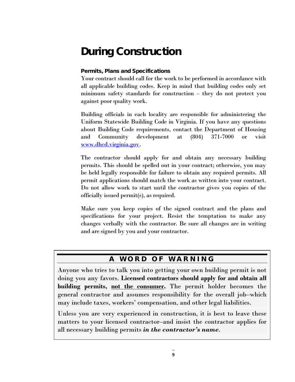### During Construction

#### Permits, Plans and Specifications

Your contract should call for the work to be performed in accordance with all applicable building codes. Keep in mind that building codes only set minimum safety standards for construction – they do not protect you against poor quality work.

Building officials in each locality are responsible for administering the Uniform Statewide Building Code in Virginia. If you have any questions about Building Code requirements, contact the Department of Housing and Community development at (804) 371-7000 or visit [www.dhcd.virginia.gov.](http://www.dhcd.virginia.gov/)

The contractor should apply for and obtain any necessary building permits. This should be spelled out in your contract; otherwise, you may be held legally responsible for failure to obtain any required permits. All permit applications should match the work as written into your contract. Do not allow work to start until the contractor gives you copies of the officially issued permit(s), as required.

Make sure you keep copies of the signed contract and the plans and specifications for your project. Resist the temptation to make any changes verbally with the contractor. Be sure all changes are in writing and are signed by you and your contractor.

#### A WORD OF WARNING

Anyone who tries to talk you into getting your own building permit is not doing you any favors. **Licensed contractors should apply for and obtain all building permits, not the consumer.** The permit holder becomes the general contractor and assumes responsibility for the overall job–which may include taxes, workers' compensation, and other legal liabilities.

Unless you are very experienced in construction, it is best to leave these matters to your licensed contractor–and insist the contractor applies for all necessary building permits *in the contractor's name*.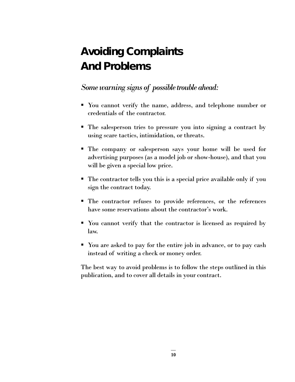### Avoiding Complaints And Problems

*Some warning signs of possible trouble ahead:* 

- You cannot verify the name, address, and telephone number or credentials of the contractor.
- The salesperson tries to pressure you into signing a contract by using scare tactics, intimidation, or threats.
- The company or salesperson says your home will be used for advertising purposes (as a model job or show-house), and that you will be given a special low price.
- The contractor tells you this is a special price available only if you sign the contract today.
- The contractor refuses to provide references, or the references have some reservations about the contractor's work.
- You cannot verify that the contractor is licensed as required by law.
- You are asked to pay for the entire job in advance, or to pay cash instead of writing a check or money order.

The best way to avoid problems is to follow the steps outlined in this publication, and to cover all details in your contract.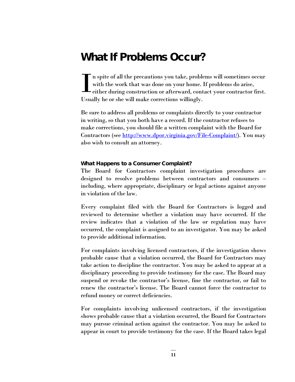### What If Problems Occur?

n spite of all the precautions you take, problems will sometimes occur with the work that was done on your home. If problems do arise, either during construction or afterward, contact your contractor first. Usually he or she will make corrections willingly. I

Be sure to address all problems or complaints directly to your contractor in writing, so that you both have a record. If the contractor refuses to make corrections, you should file a written complaint with the Board for Contractors (see [http://www.dpor.virginia.gov/File-Complaint/\)](http://www.dpor.virginia.gov/File-Complaint/). You may also wish to consult an attorney.

#### What Happens to a Consumer Complaint?

The Board for Contractors complaint investigation procedures are designed to resolve problems between contractors and consumers – including, where appropriate, disciplinary or legal actions against anyone in violation of the law.

Every complaint filed with the Board for Contractors is logged and reviewed to determine whether a violation may have occurred. If the review indicates that a violation of the law or regulation may have occurred, the complaint is assigned to an investigator. You may be asked to provide additional information.

For complaints involving licensed contractors, if the investigation shows probable cause that a violation occurred, the Board for Contractors may take action to discipline the contractor. You may be asked to appear at a disciplinary proceeding to provide testimony for the case. The Board may suspend or revoke the contractor's license, fine the contractor, or fail to renew the contractor's license. The Board cannot force the contractor to refund money or correct deficiencies.

For complaints involving unlicensed contractors, if the investigation shows probable cause that a violation occurred, the Board for Contractors may pursue criminal action against the contractor. You may be asked to appear in court to provide testimony for the case. If the Board takes legal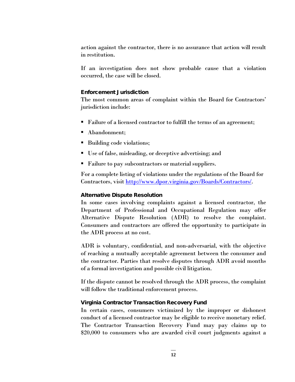action against the contractor, there is no assurance that action will result in restitution.

If an investigation does not show probable cause that a violation occurred, the case will be closed.

#### Enforcement Jurisdiction

The most common areas of complaint within the Board for Contractors' jurisdiction include:

- Failure of a licensed contractor to fulfill the terms of an agreement;
- Abandonment;
- Building code violations;
- Use of false, misleading, or deceptive advertising; and
- **Failure to pay subcontractors or material suppliers.**

For a complete listing of violations under the regulations of the Board for Contractors, visit [http://www.dpor.virginia.gov/Boards/Contractors/.](http://www.dpor.virginia.gov/Boards/Contractors/)

#### Alternative Dispute Resolution

In some cases involving complaints against a licensed contractor, the Department of Professional and Occupational Regulation may offer Alternative Dispute Resolution (ADR) to resolve the complaint. Consumers and contractors are offered the opportunity to participate in the ADR process at no cost.

ADR is voluntary, confidential, and non-adversarial, with the objective of reaching a mutually acceptable agreement between the consumer and the contractor. Parties that resolve disputes through ADR avoid months of a formal investigation and possible civil litigation.

If the dispute cannot be resolved through the ADR process, the complaint will follow the traditional enforcement process.

#### Virginia Contractor Transaction Recovery Fund

In certain cases, consumers victimized by the improper or dishonest conduct of a licensed contractor may be eligible to receive monetary relief. The Contractor Transaction Recovery Fund may pay claims up to \$20,000 to consumers who are awarded civil court judgments against a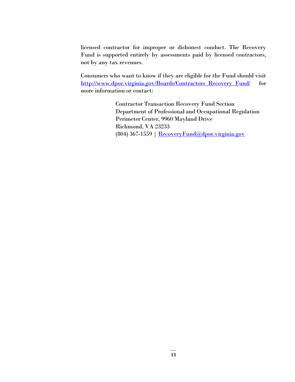licensed contractor for improper or dishonest conduct. The Recovery Fund is supported entirely by assessments paid by licensed contractors, not by any tax revenues.

Consumers who want to know if they are eligible for the Fund should visit [http://www.dpor.virginia.gov/Boards/Contractors\\_Recovery\\_Fund/](http://www.dpor.virginia.gov/Boards/Contractors_Recovery_Fund/) for more information or contact:

> Contractor Transaction Recovery Fund Section Department of Professional and Occupational Regulation Perimeter Center, 9960 Mayland Drive Richmond, VA 23233 (804) 367-1559 | [RecoveryFund@dpor.virginia.gov](mailto:RecoveryFund@dpor.virginia.gov)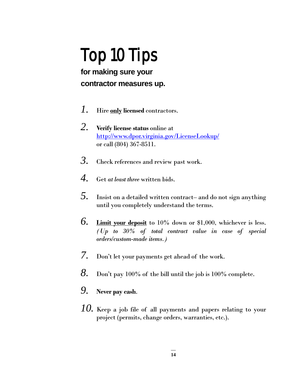# Top 10 Tips

### **for making sure your contractor measures up.**

- *1.* Hire **only licensed** contractors.
- *2.* **Verify license status** online at <http://www.dpor.virginia.gov/LicenseLookup/> or call (804) 367-8511.
- *3.* Check references and review past work.
- *4.* Get *at least three* written bids.
- *5.* Insist on a detailed written contract– and do not sign anything until you completely understand the terms.
- *6.* **Limit your deposit** to 10% down or \$1,000, whichever is less. *(Up to 30% of total contract value in case of special orders/custom-made items.)*
- *7.* Don't let your payments get ahead of the work.
- *8.* Don't pay 100% of the bill until the job is 100% complete.
- *9.* **Never pay cash**.
- *10.* Keep a job file of all payments and papers relating to your project (permits, change orders, warranties, etc.).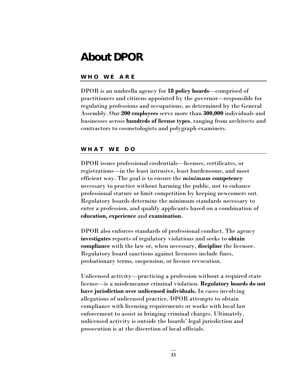### About DPOR

#### WHO WE ARE

DPOR is an umbrella agency for **18 policy boards**—comprised of practitioners and citizens appointed by the governor—responsible for regulating professions and occupations, as determined by the General Assembly. Our **200 employees** serve more than **300,000** individuals and businesses across **hundreds of license types**, ranging from architects and contractors to cosmetologists and polygraph examiners.

#### W HAT WE DO

DPOR issues professional credentials—licenses, certificates, or registrations—in the least intrusive, least burdensome, and most efficient way. The goal is to ensure the *minimum* **competency**  necessary to practice without harming the public, not to enhance professional stature or limit competition by keeping newcomers out. Regulatory boards determine the minimum standards necessary to enter a profession, and qualify applicants based on a combination of **education, experience** and **examination**.

DPOR also enforces standards of professional conduct. The agency **investigates** reports of regulatory violations and seeks to **obtain compliance** with the law or, when necessary, **discipline** the licensee. Regulatory board sanctions against licensees include fines, probationary terms, suspension, or license revocation.

Unlicensed activity—practicing a profession without a required state license—is a misdemeanor criminal violation. **Regulatory boards do not have jurisdiction over unlicensed individuals.** In cases involving allegations of unlicensed practice, DPOR attempts to obtain compliance with licensing requirements or works with local law enforcement to assist in bringing criminal charges. Ultimately, unlicensed activity is outside the boards' legal jurisdiction and prosecution is at the discretion of local officials.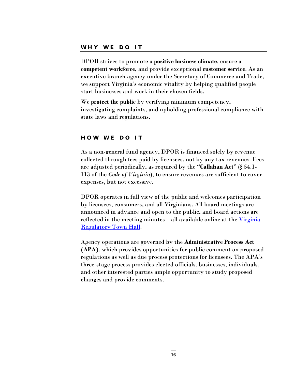DPOR strives to promote a **positive business climate**, ensure a **competent workforce**, and provide exceptional **customer service**. As an executive branch agency under the Secretary of Commerce and Trade, we support Virginia's economic vitality by helping qualified people start businesses and work in their chosen fields.

We **protect the public** by verifying minimum competency, investigating complaints, and upholding professional compliance with state laws and regulations.

#### H O W WE DO IT

As a non-general fund agency, DPOR is financed solely by revenue collected through fees paid by licensees, not by any tax revenues. Fees are adjusted periodically, as required by the **"Callahan Act"** (§ 54.1- 113 of the *Code of Virginia*), to ensure revenues are sufficient to cover expenses, but not excessive.

DPOR operates in full view of the public and welcomes participation by licensees, consumers, and all Virginians. All board meetings are announced in advance and open to the public, and board actions are reflected in the meeting minutes—all available online at the Virginia [Regulatory Town Hall.](http://www.townhall.virginia.gov/)

Agency operations are governed by the **Administrative Process Act (APA)**, which provides opportunities for public comment on proposed regulations as well as due process protections for licensees. The APA's three-stage process provides elected officials, businesses, individuals, and other interested parties ample opportunity to study proposed changes and provide comments.